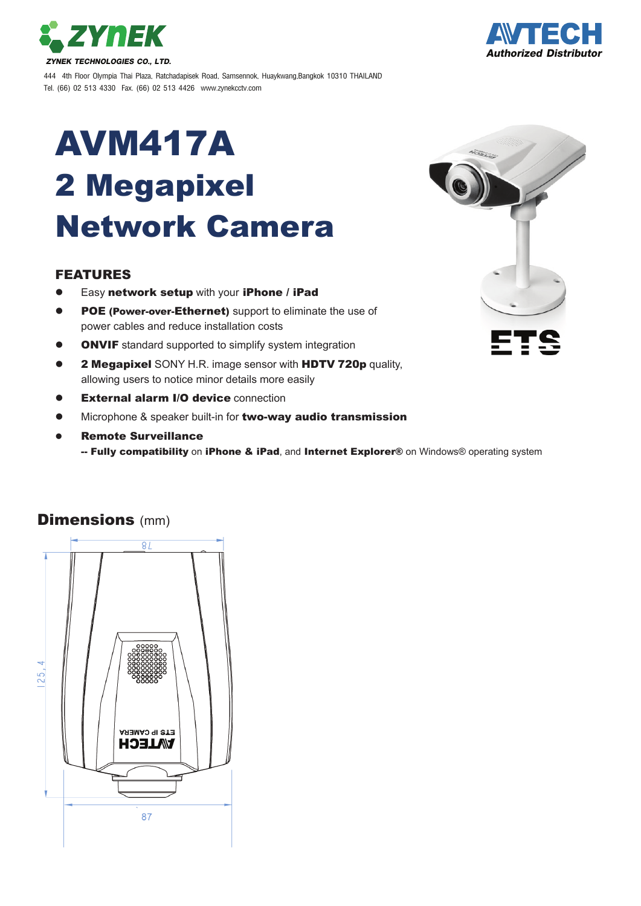



444 4th Floor Olympia Thai Plaza, Ratchadapisek Road, Samsennok, Huaykwang,Bangkok 10310 THAILAND Tel. (66) 02 513 4330 Fax. (66) 02 513 4426 www.zynekcctv.com

## AVM417A 2 Megapixel Network Camera

## FEATURES

- Easy network setup with your iPhone / iPad
- POE (Power-over-Ethernet) support to eliminate the use of power cables and reduce installation costs
- **ONVIF** standard supported to simplify system integration
- 2 Megapixel SONY H.R. image sensor with HDTV 720p quality, allowing users to notice minor details more easily
- **External alarm I/O device connection**
- Microphone & speaker built-in for two-way audio transmission
- Remote Surveillance
	- -- Fully compatibility on iPhone & iPad, and Internet Explorer® on Windows® operating system



## **Dimensions (mm)**